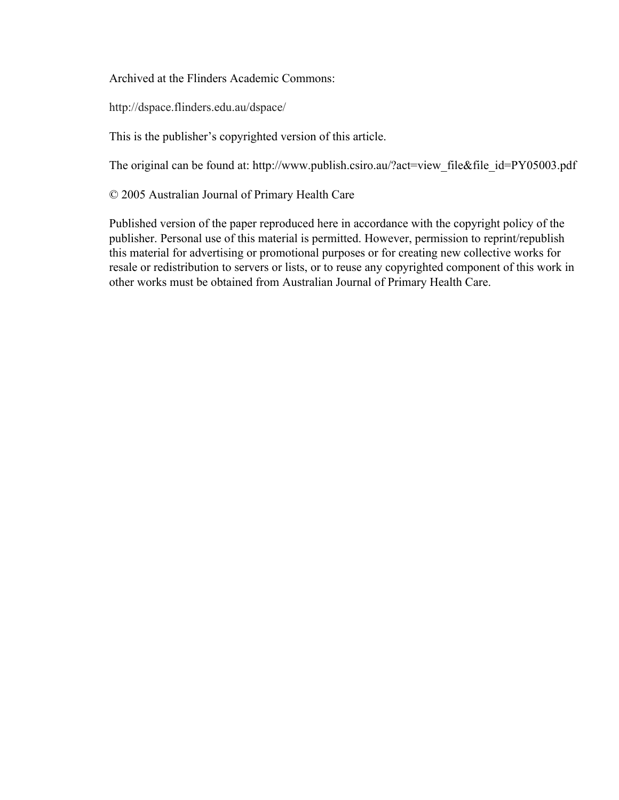Archived at the Flinders Academic Commons:

http://dspace.flinders.edu.au/dspace/

This is the publisher's copyrighted version of this article.

The original can be found at: http://www.publish.csiro.au/?act=view\_file&file\_id=PY05003.pdf

© 2005 Australian Journal of Primary Health Care

Published version of the paper reproduced here in accordance with the copyright policy of the publisher. Personal use of this material is permitted. However, permission to reprint/republish this material for advertising or promotional purposes or for creating new collective works for resale or redistribution to servers or lists, or to reuse any copyrighted component of this work in other works must be obtained from Australian Journal of Primary Health Care.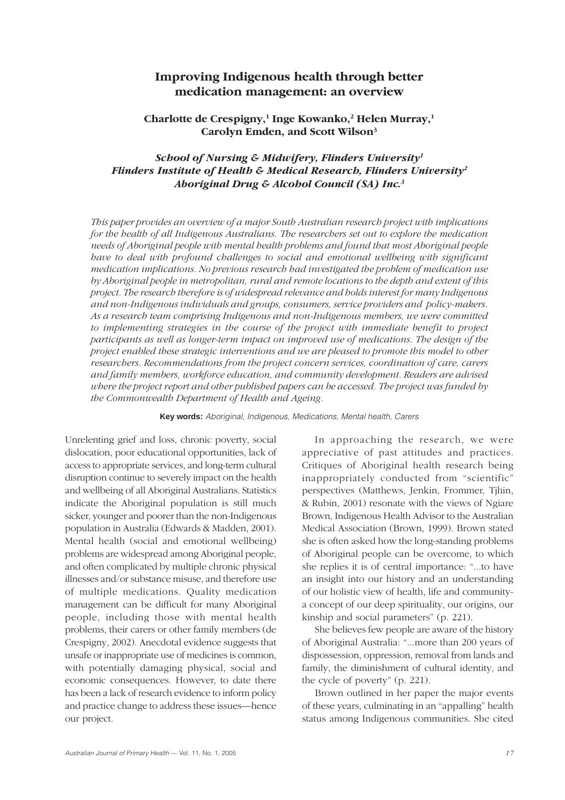# **Improving Indigenous health through better medication management: an overview**

# Charlotte de Crespigny,<sup>1</sup> Inge Kowanko,<sup>2</sup> Helen Murray,<sup>1</sup> **Carolyn Emden, and Scott Wilson3**

# *School of Nursing & Midwifery, Flinders University1 Flinders Institute of Health & Medical Research, Flinders University2 Aboriginal Drug & Alcohol Council (SA) Inc.3*

*This paper provides an overview of a major South Australian research project with implications for the health of all Indigenous Australians. The researchers set out to explore the medication needs of Aboriginal people with mental health problems and found that most Aboriginal people have to deal with profound challenges to social and emotional wellbeing with significant medication implications. No previous research had investigated the problem of medication use by Aboriginal people in metropolitan, rural and remote locations to the depth and extent of this project. The research therefore is of widespread relevance and holds interest for many Indigenous and non-Indigenous individuals and groups, consumers, service providers and policy-makers. As a research team comprising Indigenous and non-Indigenous members, we were committed to implementing strategies in the course of the project with immediate benefit to project participants as well as longer-term impact on improved use of medications. The design of the project enabled these strategic interventions and we are pleased to promote this model to other researchers. Recommendations from the project concern services, coordination of care, carers and family members, workforce education, and community development. Readers are advised where the project report and other published papers can be accessed. The project was funded by the Commonwealth Department of Health and Ageing.*

**Key words:** Aboriginal, Indigenous, Medications, Mental health, Carers

Unrelenting grief and loss, chronic poverty, social dislocation, poor educational opportunities, lack of access to appropriate services, and long-term cultural disruption continue to severely impact on the health and wellbeing of all Aboriginal Australians. Statistics indicate the Aboriginal population is still much sicker, younger and poorer than the non-Indigenous population in Australia (Edwards & Madden, 2001). Mental health (social and emotional wellbeing) problems are widespread among Aboriginal people, and often complicated by multiple chronic physical illnesses and/or substance misuse, and therefore use of multiple medications. Quality medication management can be difficult for many Aboriginal people, including those with mental health problems, their carers or other family members (de Crespigny, 2002). Anecdotal evidence suggests that unsafe or inappropriate use of medicines is common, with potentially damaging physical, social and economic consequences. However, to date there has been a lack of research evidence to inform policy and practice change to address these issues—hence our project.

In approaching the research, we were appreciative of past attitudes and practices. Critiques of Aboriginal health research being inappropriately conducted from "scientific" perspectives (Matthews, Jenkin, Frommer, Tjhin, & Rubin, 2001) resonate with the views of Ngiare Brown, Indigenous Health Advisor to the Australian Medical Association (Brown, 1999). Brown stated she is often asked how the long-standing problems of Aboriginal people can be overcome, to which she replies it is of central importance: "...to have an insight into our history and an understanding of our holistic view of health, life and communitya concept of our deep spirituality, our origins, our kinship and social parameters" (p. 221).

She believes few people are aware of the history of Aboriginal Australia: "...more than 200 years of dispossession, oppression, removal from lands and family, the diminishment of cultural identity, and the cycle of poverty" (p. 221).

Brown outlined in her paper the major events of these years, culminating in an "appalling" health status among Indigenous communities. She cited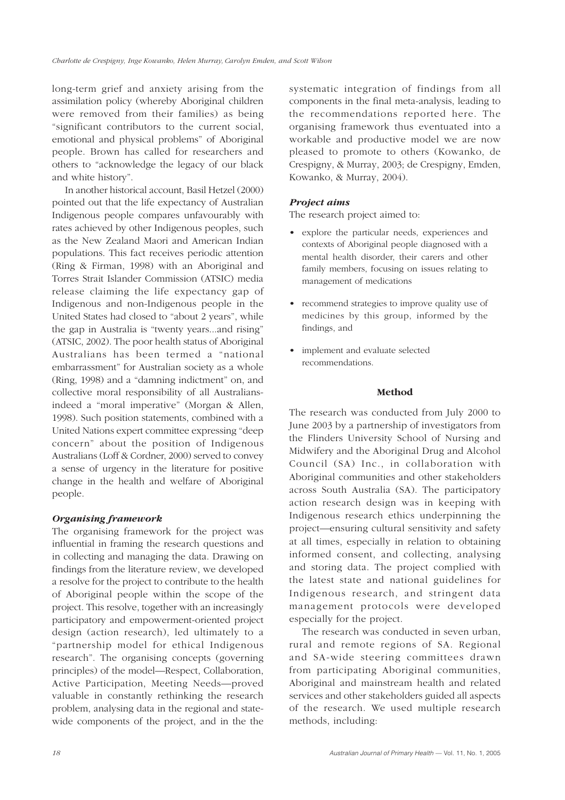long-term grief and anxiety arising from the assimilation policy (whereby Aboriginal children were removed from their families) as being "significant contributors to the current social, emotional and physical problems" of Aboriginal people. Brown has called for researchers and others to "acknowledge the legacy of our black and white history".

In another historical account, Basil Hetzel (2000) pointed out that the life expectancy of Australian Indigenous people compares unfavourably with rates achieved by other Indigenous peoples, such as the New Zealand Maori and American Indian populations. This fact receives periodic attention (Ring & Firman, 1998) with an Aboriginal and Torres Strait Islander Commission (ATSIC) media release claiming the life expectancy gap of Indigenous and non-Indigenous people in the United States had closed to "about 2 years", while the gap in Australia is "twenty years...and rising" (ATSIC, 2002). The poor health status of Aboriginal Australians has been termed a "national embarrassment" for Australian society as a whole (Ring, 1998) and a "damning indictment" on, and collective moral responsibility of all Australiansindeed a "moral imperative" (Morgan & Allen, 1998). Such position statements, combined with a United Nations expert committee expressing "deep concern" about the position of Indigenous Australians (Loff & Cordner, 2000) served to convey a sense of urgency in the literature for positive change in the health and welfare of Aboriginal people.

### *Organising framework*

The organising framework for the project was influential in framing the research questions and in collecting and managing the data. Drawing on findings from the literature review, we developed a resolve for the project to contribute to the health of Aboriginal people within the scope of the project. This resolve, together with an increasingly participatory and empowerment-oriented project design (action research), led ultimately to a "partnership model for ethical Indigenous research". The organising concepts (governing principles) of the model—Respect, Collaboration, Active Participation, Meeting Needs—proved valuable in constantly rethinking the research problem, analysing data in the regional and statewide components of the project, and in the the systematic integration of findings from all components in the final meta-analysis, leading to the recommendations reported here. The organising framework thus eventuated into a workable and productive model we are now pleased to promote to others (Kowanko, de Crespigny, & Murray, 2003; de Crespigny, Emden, Kowanko, & Murray, 2004).

## *Project aims*

The research project aimed to:

- explore the particular needs, experiences and contexts of Aboriginal people diagnosed with a mental health disorder, their carers and other family members, focusing on issues relating to management of medications
- recommend strategies to improve quality use of medicines by this group, informed by the findings, and
- implement and evaluate selected recommendations.

#### **Method**

The research was conducted from July 2000 to June 2003 by a partnership of investigators from the Flinders University School of Nursing and Midwifery and the Aboriginal Drug and Alcohol Council (SA) Inc., in collaboration with Aboriginal communities and other stakeholders across South Australia (SA). The participatory action research design was in keeping with Indigenous research ethics underpinning the project—ensuring cultural sensitivity and safety at all times, especially in relation to obtaining informed consent, and collecting, analysing and storing data. The project complied with the latest state and national guidelines for Indigenous research, and stringent data management protocols were developed especially for the project.

The research was conducted in seven urban, rural and remote regions of SA. Regional and SA-wide steering committees drawn from participating Aboriginal communities, Aboriginal and mainstream health and related services and other stakeholders guided all aspects of the research. We used multiple research methods, including: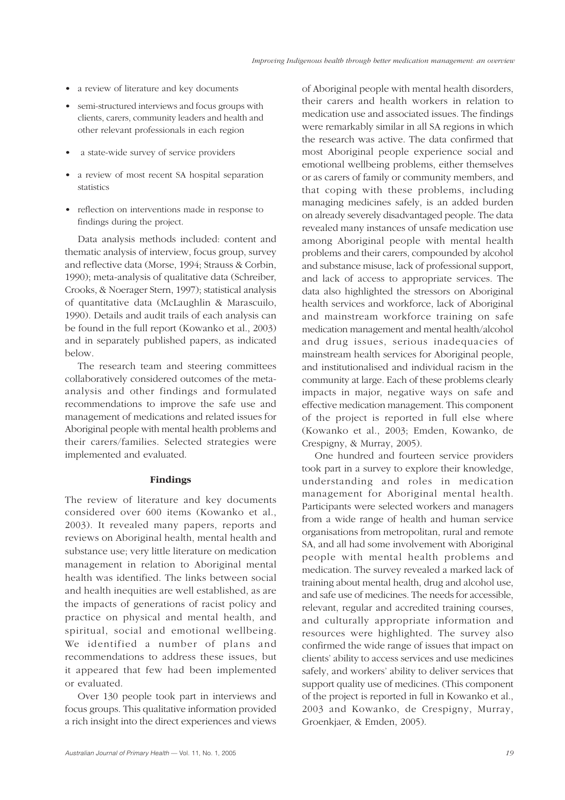- a review of literature and key documents
- semi-structured interviews and focus groups with clients, carers, community leaders and health and other relevant professionals in each region
- a state-wide survey of service providers
- a review of most recent SA hospital separation statistics
- reflection on interventions made in response to findings during the project.

Data analysis methods included: content and thematic analysis of interview, focus group, survey and reflective data (Morse, 1994; Strauss & Corbin, 1990); meta-analysis of qualitative data (Schreiber, Crooks, & Noerager Stern, 1997); statistical analysis of quantitative data (McLaughlin & Marascuilo, 1990). Details and audit trails of each analysis can be found in the full report (Kowanko et al., 2003) and in separately published papers, as indicated below.

The research team and steering committees collaboratively considered outcomes of the metaanalysis and other findings and formulated recommendations to improve the safe use and management of medications and related issues for Aboriginal people with mental health problems and their carers/families. Selected strategies were implemented and evaluated.

## **Findings**

The review of literature and key documents considered over 600 items (Kowanko et al., 2003). It revealed many papers, reports and reviews on Aboriginal health, mental health and substance use; very little literature on medication management in relation to Aboriginal mental health was identified. The links between social and health inequities are well established, as are the impacts of generations of racist policy and practice on physical and mental health, and spiritual, social and emotional wellbeing. We identified a number of plans and recommendations to address these issues, but it appeared that few had been implemented or evaluated.

Over 130 people took part in interviews and focus groups. This qualitative information provided a rich insight into the direct experiences and views

of Aboriginal people with mental health disorders, their carers and health workers in relation to medication use and associated issues. The findings were remarkably similar in all SA regions in which the research was active. The data confirmed that most Aboriginal people experience social and emotional wellbeing problems, either themselves or as carers of family or community members, and that coping with these problems, including managing medicines safely, is an added burden on already severely disadvantaged people. The data revealed many instances of unsafe medication use among Aboriginal people with mental health problems and their carers, compounded by alcohol and substance misuse, lack of professional support, and lack of access to appropriate services. The data also highlighted the stressors on Aboriginal health services and workforce, lack of Aboriginal and mainstream workforce training on safe medication management and mental health/alcohol and drug issues, serious inadequacies of mainstream health services for Aboriginal people, and institutionalised and individual racism in the community at large. Each of these problems clearly impacts in major, negative ways on safe and effective medication management. This component of the project is reported in full else where (Kowanko et al., 2003; Emden, Kowanko, de Crespigny, & Murray, 2005).

One hundred and fourteen service providers took part in a survey to explore their knowledge, understanding and roles in medication management for Aboriginal mental health. Participants were selected workers and managers from a wide range of health and human service organisations from metropolitan, rural and remote SA, and all had some involvement with Aboriginal people with mental health problems and medication. The survey revealed a marked lack of training about mental health, drug and alcohol use, and safe use of medicines. The needs for accessible, relevant, regular and accredited training courses, and culturally appropriate information and resources were highlighted. The survey also confirmed the wide range of issues that impact on clients' ability to access services and use medicines safely, and workers' ability to deliver services that support quality use of medicines. (This component of the project is reported in full in Kowanko et al., 2003 and Kowanko, de Crespigny, Murray, Groenkjaer, & Emden, 2005).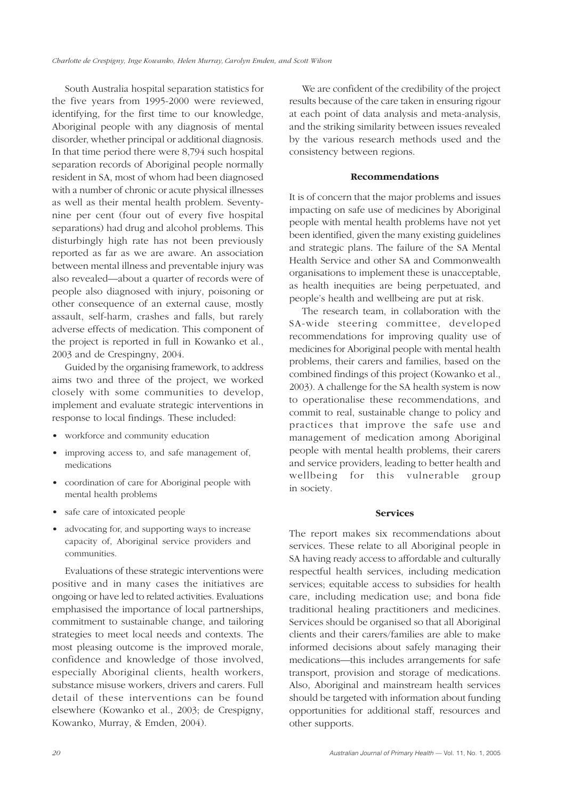South Australia hospital separation statistics for the five years from 1995-2000 were reviewed, identifying, for the first time to our knowledge, Aboriginal people with any diagnosis of mental disorder, whether principal or additional diagnosis. In that time period there were 8,794 such hospital separation records of Aboriginal people normally resident in SA, most of whom had been diagnosed with a number of chronic or acute physical illnesses as well as their mental health problem. Seventynine per cent (four out of every five hospital separations) had drug and alcohol problems. This disturbingly high rate has not been previously reported as far as we are aware. An association between mental illness and preventable injury was also revealed—about a quarter of records were of people also diagnosed with injury, poisoning or other consequence of an external cause, mostly assault, self-harm, crashes and falls, but rarely adverse effects of medication. This component of the project is reported in full in Kowanko et al., 2003 and de Crespingny, 2004.

Guided by the organising framework, to address aims two and three of the project, we worked closely with some communities to develop, implement and evaluate strategic interventions in response to local findings. These included:

- workforce and community education
- improving access to, and safe management of, medications
- coordination of care for Aboriginal people with mental health problems
- safe care of intoxicated people
- advocating for, and supporting ways to increase capacity of, Aboriginal service providers and communities.

Evaluations of these strategic interventions were positive and in many cases the initiatives are ongoing or have led to related activities. Evaluations emphasised the importance of local partnerships, commitment to sustainable change, and tailoring strategies to meet local needs and contexts. The most pleasing outcome is the improved morale, confidence and knowledge of those involved, especially Aboriginal clients, health workers, substance misuse workers, drivers and carers. Full detail of these interventions can be found elsewhere (Kowanko et al., 2003; de Crespigny, Kowanko, Murray, & Emden, 2004).

We are confident of the credibility of the project results because of the care taken in ensuring rigour at each point of data analysis and meta-analysis, and the striking similarity between issues revealed by the various research methods used and the consistency between regions.

### **Recommendations**

It is of concern that the major problems and issues impacting on safe use of medicines by Aboriginal people with mental health problems have not yet been identified, given the many existing guidelines and strategic plans. The failure of the SA Mental Health Service and other SA and Commonwealth organisations to implement these is unacceptable, as health inequities are being perpetuated, and people's health and wellbeing are put at risk.

The research team, in collaboration with the SA-wide steering committee, developed recommendations for improving quality use of medicines for Aboriginal people with mental health problems, their carers and families, based on the combined findings of this project (Kowanko et al., 2003). A challenge for the SA health system is now to operationalise these recommendations, and commit to real, sustainable change to policy and practices that improve the safe use and management of medication among Aboriginal people with mental health problems, their carers and service providers, leading to better health and wellbeing for this vulnerable group in society.

#### **Services**

The report makes six recommendations about services. These relate to all Aboriginal people in SA having ready access to affordable and culturally respectful health services, including medication services; equitable access to subsidies for health care, including medication use; and bona fide traditional healing practitioners and medicines. Services should be organised so that all Aboriginal clients and their carers/families are able to make informed decisions about safely managing their medications—this includes arrangements for safe transport, provision and storage of medications. Also, Aboriginal and mainstream health services should be targeted with information about funding opportunities for additional staff, resources and other supports.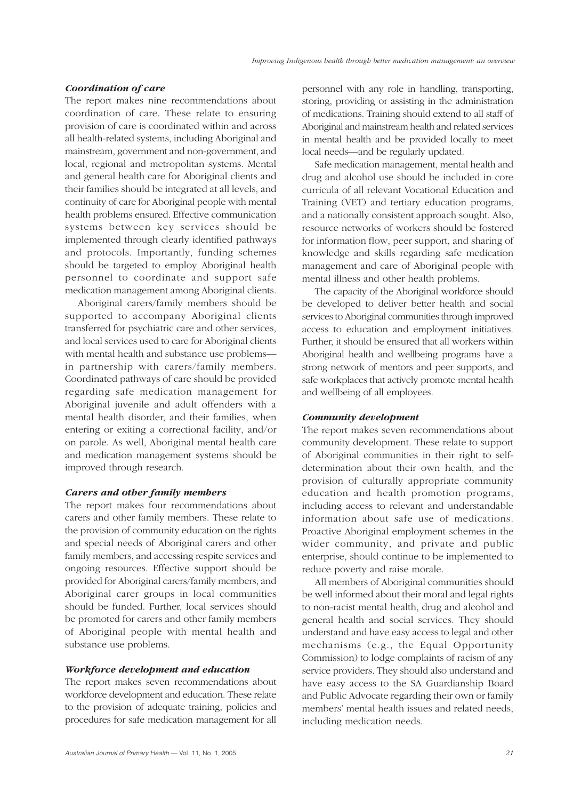## *Coordination of care*

The report makes nine recommendations about coordination of care. These relate to ensuring provision of care is coordinated within and across all health-related systems, including Aboriginal and mainstream, government and non-government, and local, regional and metropolitan systems. Mental and general health care for Aboriginal clients and their families should be integrated at all levels, and continuity of care for Aboriginal people with mental health problems ensured. Effective communication systems between key services should be implemented through clearly identified pathways and protocols. Importantly, funding schemes should be targeted to employ Aboriginal health personnel to coordinate and support safe medication management among Aboriginal clients.

Aboriginal carers/family members should be supported to accompany Aboriginal clients transferred for psychiatric care and other services, and local services used to care for Aboriginal clients with mental health and substance use problems in partnership with carers/family members. Coordinated pathways of care should be provided regarding safe medication management for Aboriginal juvenile and adult offenders with a mental health disorder, and their families, when entering or exiting a correctional facility, and/or on parole. As well, Aboriginal mental health care and medication management systems should be improved through research.

## *Carers and other family members*

The report makes four recommendations about carers and other family members. These relate to the provision of community education on the rights and special needs of Aboriginal carers and other family members, and accessing respite services and ongoing resources. Effective support should be provided for Aboriginal carers/family members, and Aboriginal carer groups in local communities should be funded. Further, local services should be promoted for carers and other family members of Aboriginal people with mental health and substance use problems.

## *Workforce development and education*

The report makes seven recommendations about workforce development and education. These relate to the provision of adequate training, policies and procedures for safe medication management for all

personnel with any role in handling, transporting, storing, providing or assisting in the administration of medications. Training should extend to all staff of Aboriginal and mainstream health and related services in mental health and be provided locally to meet local needs—and be regularly updated.

Safe medication management, mental health and drug and alcohol use should be included in core curricula of all relevant Vocational Education and Training (VET) and tertiary education programs, and a nationally consistent approach sought. Also, resource networks of workers should be fostered for information flow, peer support, and sharing of knowledge and skills regarding safe medication management and care of Aboriginal people with mental illness and other health problems.

The capacity of the Aboriginal workforce should be developed to deliver better health and social services to Aboriginal communities through improved access to education and employment initiatives. Further, it should be ensured that all workers within Aboriginal health and wellbeing programs have a strong network of mentors and peer supports, and safe workplaces that actively promote mental health and wellbeing of all employees.

#### *Community development*

The report makes seven recommendations about community development. These relate to support of Aboriginal communities in their right to selfdetermination about their own health, and the provision of culturally appropriate community education and health promotion programs, including access to relevant and understandable information about safe use of medications. Proactive Aboriginal employment schemes in the wider community, and private and public enterprise, should continue to be implemented to reduce poverty and raise morale.

All members of Aboriginal communities should be well informed about their moral and legal rights to non-racist mental health, drug and alcohol and general health and social services. They should understand and have easy access to legal and other mechanisms (e.g., the Equal Opportunity Commission) to lodge complaints of racism of any service providers. They should also understand and have easy access to the SA Guardianship Board and Public Advocate regarding their own or family members' mental health issues and related needs, including medication needs.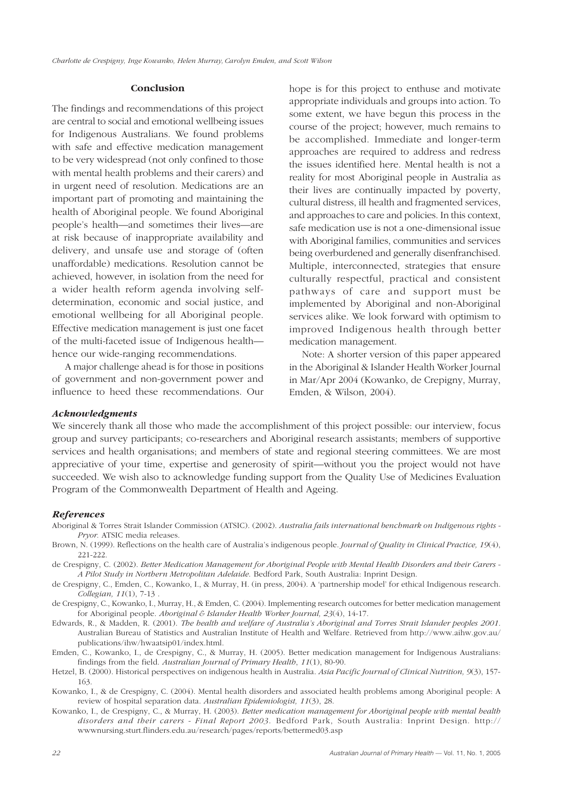#### **Conclusion**

The findings and recommendations of this project are central to social and emotional wellbeing issues for Indigenous Australians. We found problems with safe and effective medication management to be very widespread (not only confined to those with mental health problems and their carers) and in urgent need of resolution. Medications are an important part of promoting and maintaining the health of Aboriginal people. We found Aboriginal people's health—and sometimes their lives—are at risk because of inappropriate availability and delivery, and unsafe use and storage of (often unaffordable) medications. Resolution cannot be achieved, however, in isolation from the need for a wider health reform agenda involving selfdetermination, economic and social justice, and emotional wellbeing for all Aboriginal people. Effective medication management is just one facet of the multi-faceted issue of Indigenous health hence our wide-ranging recommendations.

A major challenge ahead is for those in positions of government and non-government power and influence to heed these recommendations. Our hope is for this project to enthuse and motivate appropriate individuals and groups into action. To some extent, we have begun this process in the course of the project; however, much remains to be accomplished. Immediate and longer-term approaches are required to address and redress the issues identified here. Mental health is not a reality for most Aboriginal people in Australia as their lives are continually impacted by poverty, cultural distress, ill health and fragmented services, and approaches to care and policies. In this context, safe medication use is not a one-dimensional issue with Aboriginal families, communities and services being overburdened and generally disenfranchised. Multiple, interconnected, strategies that ensure culturally respectful, practical and consistent pathways of care and support must be implemented by Aboriginal and non-Aboriginal services alike. We look forward with optimism to improved Indigenous health through better medication management.

Note: A shorter version of this paper appeared in the Aboriginal & Islander Health Worker Journal in Mar/Apr 2004 (Kowanko, de Crepigny, Murray, Emden, & Wilson, 2004).

#### *Acknowledgments*

We sincerely thank all those who made the accomplishment of this project possible: our interview, focus group and survey participants; co-researchers and Aboriginal research assistants; members of supportive services and health organisations; and members of state and regional steering committees. We are most appreciative of your time, expertise and generosity of spirit—without you the project would not have succeeded. We wish also to acknowledge funding support from the Quality Use of Medicines Evaluation Program of the Commonwealth Department of Health and Ageing.

#### *References*

- Aboriginal & Torres Strait Islander Commission (ATSIC). (2002). *Australia fails international benchmark on Indigenous rights - Pryor.* ATSIC media releases.
- Brown, N. (1999). Reflections on the health care of Australia's indigenous people. *Journal of Quality in Clinical Practice, 19*(4), 221-222.
- de Crespigny, C. (2002). *Better Medication Management for Aboriginal People with Mental Health Disorders and their Carers - A Pilot Study in Northern Metropolitan Adelaide*. Bedford Park, South Australia: Inprint Design.
- de Crespigny, C., Emden, C., Kowanko, I., & Murray, H. (in press, 2004). A 'partnership model' for ethical Indigenous research. *Collegian, 11*(1), 7-13 .
- de Crespigny, C., Kowanko, I., Murray, H., & Emden, C. (2004). Implementing research outcomes for better medication management for Aboriginal people. *Aboriginal & Islander Health Worker Journal, 23*(4), 14-17.
- Edwards, R., & Madden, R. (2001). *The health and welfare of Australia's Aboriginal and Torres Strait Islander peoples 2001*. Australian Bureau of Statistics and Australian Institute of Health and Welfare. Retrieved from http://www.aihw.gov.au/ publications/ihw/hwaatsip01/index.html.
- Emden, C., Kowanko, I., de Crespigny, C., & Murray, H. (2005). Better medication management for Indigenous Australians: findings from the field. *Australian Journal of Primary Health*, *11*(1), 80-90.
- Hetzel, B. (2000). Historical perspectives on indigenous health in Australia. *Asia Pacific Journal of Clinical Nutrition, 9*(3), 157- 163.
- Kowanko, I., & de Crespigny, C. (2004). Mental health disorders and associated health problems among Aboriginal people: A review of hospital separation data. *Australian Epidemiologist, 11*(3), 28.
- Kowanko, I., de Crespigny, C., & Murray, H. (2003). *Better medication management for Aboriginal people with mental health disorders and their carers - Final Report 2003*. Bedford Park, South Australia: Inprint Design. http:// wwwnursing.sturt.flinders.edu.au/research/pages/reports/bettermed03.asp